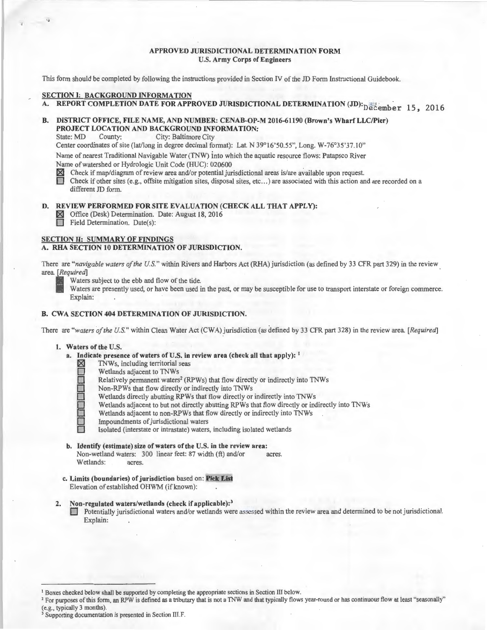## APPROVED JURISDICTIONAL DETERMINATION FORM U.S. Army Corps of Engineers

This form should be completed by following the instructions provided in Section fV of the JD Form Instructional Guidebook.

## SECTION I: BACKGROUND INFORMATION

A. REPORT COMPLETION DATE FOR APPROVED JURISDICTIONAL DETERMINATION (JD): $_{\rm D}$ e $_{\rm c}$ ember 15, 2016

# B. DISTRICT OFFICE, FILE NAME, AND NUMBER: CENAB-OP-M 2016-61190 (Brown's Wharf LLC/Pier) **PROJECT LOCATION AND BACKGROUND INFORMATION:**<br>State: MD County: City: Baltimore City

City: Baltimore City

Center coordinates of site (lat/long in degree decimal format): Lat. N 39°16'50.55", Long. W-76°35'37.10"

Name of nearest Traditional Navigable Water (TNW) into which the aquatic resource flows: Patapsco River Name of watershed or Hydrologic Unit Code (HUC): 020600<br>  $\boxtimes$  Check if map/diagram of review area and/or potential ju<br>
Check if other sites (e.g., offsite mitigation sites, disposa

- ~ Check if map/diagram of review area and/or potential jurisdictional areas is/are available upon request.
- 0 Check if other sites (e.g., offsite mitigation sites, disposal sites, etc ... ) are associated with this action and are recorded on a different JD form.

## D. REVIEW PERFORMED FOR SITE EVALUATION (CHECK ALL THAT APPLY):

**IX** Office (Desk) Determination. Date: August 18, 2016<br>
Field Determination. Date(s): Field Determination. Date(s):

## SECTION II: SUMMARY OF FINDINGS

## A. RHA SECTION 10 DETERMINATION OF JURISDICTION.

There are *"navigable waters of the U.S."* within Rivers and Harbors Act (RHA) jurisdiction (as defined by 33 CFR part 329) in the review area. [Required]

Waters subject to the ebb and flow of the tide.

Waters are presently used, or have been used in the past, or may be susceptible for use to transport interstate or foreign commerce. Explain:

## B. CWA SECTION 404 DETERMINATION OF JURISDICTION.

There are *"waters of the U.S."* within Clean Water Act (CWA) jurisdiction (as defined by 33 CFR part 328) in the review area. *[Required]* 

## 1. Waters of the U.S.

- a. Indicate presence of waters of U.S. in review area (check all that apply): <sup>1</sup>
	- TNWs, including territorial seas
		- Wetlands adjacent to TNWs
		- Relatively permanent waters<sup>2</sup> (RPWs) that flow directly or indirectly into TNWs
		- Non-RPWs that flow directly or indirectly into TNWs
		- Wetlands directly abutting RPWs that flow directly or indirectly into TNWs
	- Wetlands adjacent to but not directly abutting RPWs that flow directly or indirectly into TNWs
	- Wetlands adjacent to non-RPWs that flow directly or indirectly into TNWs
	- Impoundments of jurisdictional waters
	- Isolated (interstate or intrastate) waters, including isolated wetlands
- b. Identify (estimate) size of waters of the U.S. in the review area: Non-wetland waters: 300 linear feet: 87 width (ft) and/or acres. Wetlands: acres.
- c. Limits (boundaries) of jurisdiction based on: Pick List Elevation of established OHWM (if known):
- Non-regulated waters/wetlands (check if applicable):<sup>3</sup>
	- 0 Potentially jurisdictional waters and/or wetlands were assessed within the review area and determined to be not jurisdictional. Explain:

<sup>&</sup>lt;sup>1</sup> Boxes checked below shall be supported by completing the appropriate sections in Section III below.<br><sup>2</sup> For purposes of this form, an RPW is defined as a tributary that is not a TNW and that typically flows year-round

<sup>&</sup>lt;sup>3</sup> Supporting documentation is presented in Section III.F.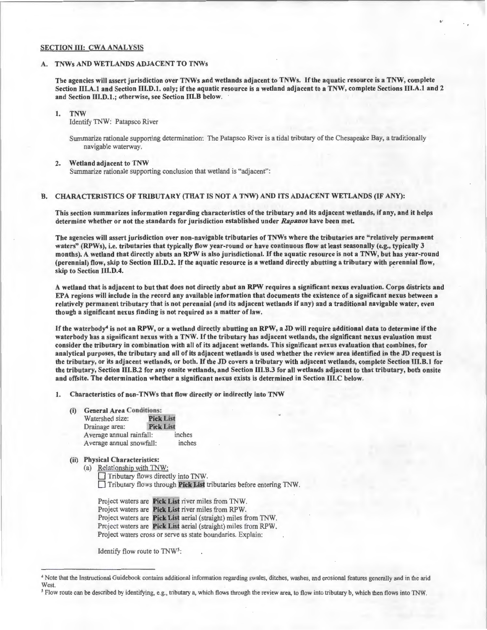#### SECTION III: CWA ANALYSIS

## A. TNWs AND WETLANDS ADJACENT TO TNWs

The agencies will assert jurisdiction over TNWs and wetlands adjacent to TNWs. If the aquatic resource is a TNW, complete Section III.A.1 and Section III.D.1. only; if the aquatic resource is a wetland adjacent to a TNW, complete Sections III.A.1 and 2 and Section 111.D.1.; otherwise, see Section 111.B below.

"

#### 1. TNW

Identify TNW: Patapsco River

Summarize rationale supporting determination: The Patapsco River is a tidal tributary of the Chesapeake Bay, a traditionally navigable waterway.

#### 2. Wetland adjacent to TNW

Summarize rationale supporting conclusion that wetland is "adjacent":

#### B. CHARACTERISTICS OF TRIBUTARY (THAT IS NOT A TNW) AND lTS ADJACENT WETLANDS (IF ANY):

This section summarizes information regarding characteristics of the tributary and its adjacent wetlands, if any, and it helps determine whether or not the standards for jurisdiction established under *Rapanos* have been met.

The agencies will assert jurisdiction over non-navigable tributaries of TNWs where the tributaries are "relatively permanent waters" (RPWs), i.e. tributaries that typically flow year-round or have continuous flow at least seasonally (e.g., typically 3 months). A wetland that directly abuts an RPW is also jurisdictional. If the aquatic resource is not a TNW, but has year-round (perennial) flow, skip to Section III.D.2. If the aquatic resource is a wetland directly abutting a tributary with perennial flow, skip to Section III.D.4.

A wetland that is adjacent to but that does not directly abut an RPW requires a significant nexus evaluation. Corps districts and EPA regions will include in the record any available information that documents the existence of a significant nexus between a relatively permanent tributary that is not perennial (and its adjacent wetlands if any) and a traditional navigable water, even though a significant nexus finding is not required as a matter of law.

If the waterbody<sup>4</sup> is not an RPW, or a wetland directly abutting an RPW, a JD will require additional data to determine if the waterbody has a significant nexus with a TNW. If the tributary has adjacent wetlands, the significant nexus evaluation must consider the tributary in combination with all of its adjacent wetlands. This significant nexus evaluation that combines, for analytical purposes, the tributary and all of its adjacent wetlands is used whether the review area identified in the JD request is the tributary, or its adjacent wetlands, or both. If the JD covers a tributary with adjacent wetlands, complete Section III.B.I for the tributary, Section IIl.B.2 for any onsite wetlands, and Section III.B.3 for all wetlands adjacent to that tributary, both onsite and offsite. The determination whether a significant nexus exists is determined in Section III.C below.

1. Characteristics of non-TNWs that flow directly or indirectly into TNW

- (i) General Area Conditions: Watershed size: Pick List<br>Drainage area: Pick List
	- Drainage area: Average annual rainfall: inches Average annual snowfall: inches
- (ii) Physical Characteristics:

(a) Relationship with TNW: Tributary flows directly into TNW.  $\Box$  Tributary flows through **Pick List** tributaries before entering TNW.

Project waters are Pick List river miles from TNW. Project waters are Pick List river miles from RPW. Project waters are Pick List aerial (straight) miles from TNW. Project waters are Pick List aerial (straight) mile: from RPW. Project waters cross or serve as state boundaries. Explain:

Identify flow route to TNW5:

<sup>•</sup>Note that the Instructional Guidebook contains additional information regarding swales, ditches, washes, and erosional features generally and in the arid West.

*<sup>5</sup>*Flow route can be described by identifying, e.g., tributary a, which flows through the review area, to flow into tributary b, which then flows into TNW.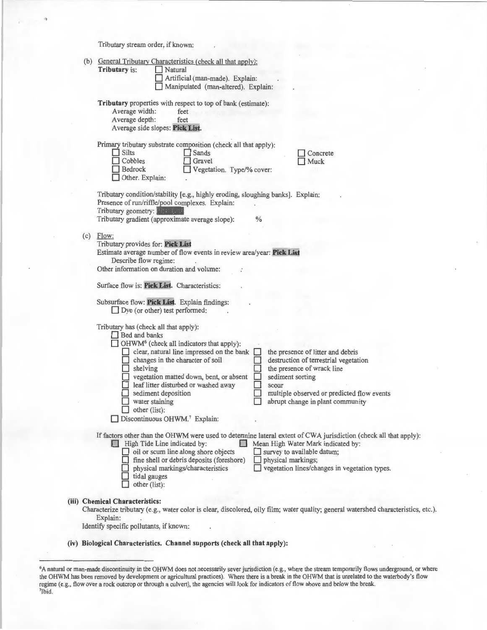Tributary stream order, if known:

|                                 | (b) General Tributary Characteristics (check all that apply):                                                                       |  |  |  |  |  |  |  |
|---------------------------------|-------------------------------------------------------------------------------------------------------------------------------------|--|--|--|--|--|--|--|
|                                 | Tributary is:<br>Natural                                                                                                            |  |  |  |  |  |  |  |
|                                 | Artificial (man-made). Explain:                                                                                                     |  |  |  |  |  |  |  |
|                                 | Manipulated (man-altered). Explain:                                                                                                 |  |  |  |  |  |  |  |
|                                 |                                                                                                                                     |  |  |  |  |  |  |  |
|                                 | Tributary properties with respect to top of bank (estimate):                                                                        |  |  |  |  |  |  |  |
|                                 | Average width:<br>feet                                                                                                              |  |  |  |  |  |  |  |
|                                 | Average depth:<br>feet                                                                                                              |  |  |  |  |  |  |  |
|                                 | Average side slopes: Pick List.                                                                                                     |  |  |  |  |  |  |  |
|                                 |                                                                                                                                     |  |  |  |  |  |  |  |
|                                 | Primary tributary substrate composition (check all that apply):                                                                     |  |  |  |  |  |  |  |
|                                 | $\Box$ Silts<br><b>Sands</b><br>Concrete                                                                                            |  |  |  |  |  |  |  |
|                                 | Cobbles<br>Gravel<br>Muck                                                                                                           |  |  |  |  |  |  |  |
|                                 | <b>Bedrock</b><br>Vegetation. Type/% cover:                                                                                         |  |  |  |  |  |  |  |
|                                 | Other. Explain:                                                                                                                     |  |  |  |  |  |  |  |
|                                 |                                                                                                                                     |  |  |  |  |  |  |  |
|                                 | Tributary condition/stability [e.g., highly eroding, sloughing banks]. Explain:                                                     |  |  |  |  |  |  |  |
|                                 | Presence of run/riffle/pool complexes. Explain:                                                                                     |  |  |  |  |  |  |  |
|                                 | Tributary geometry: The Last                                                                                                        |  |  |  |  |  |  |  |
|                                 | Tributary gradient (approximate average slope):<br>$\%$                                                                             |  |  |  |  |  |  |  |
|                                 |                                                                                                                                     |  |  |  |  |  |  |  |
|                                 | $(c)$ Flow:                                                                                                                         |  |  |  |  |  |  |  |
|                                 | Tributary provides for: Pick List                                                                                                   |  |  |  |  |  |  |  |
|                                 | Estimate average number of flow events in review area/year: Pick List                                                               |  |  |  |  |  |  |  |
|                                 | Describe flow regime:                                                                                                               |  |  |  |  |  |  |  |
|                                 | Other information on duration and volume:                                                                                           |  |  |  |  |  |  |  |
|                                 |                                                                                                                                     |  |  |  |  |  |  |  |
|                                 | Surface flow is: Pick List. Characteristics:                                                                                        |  |  |  |  |  |  |  |
|                                 |                                                                                                                                     |  |  |  |  |  |  |  |
|                                 | Subsurface flow: Pick List. Explain findings:                                                                                       |  |  |  |  |  |  |  |
|                                 | $\Box$ Dye (or other) test performed:                                                                                               |  |  |  |  |  |  |  |
|                                 |                                                                                                                                     |  |  |  |  |  |  |  |
|                                 | Tributary has (check all that apply):                                                                                               |  |  |  |  |  |  |  |
|                                 | <b>Bed and banks</b>                                                                                                                |  |  |  |  |  |  |  |
|                                 | OHWM <sup>6</sup> (check all indicators that apply):                                                                                |  |  |  |  |  |  |  |
|                                 | clear, natural line impressed on the bank<br>the presence of litter and debris                                                      |  |  |  |  |  |  |  |
|                                 | changes in the character of soil<br>destruction of terrestrial vegetation                                                           |  |  |  |  |  |  |  |
|                                 | $\Box$ shelving<br>the presence of wrack line                                                                                       |  |  |  |  |  |  |  |
|                                 | vegetation matted down, bent, or absent<br>sediment sorting                                                                         |  |  |  |  |  |  |  |
|                                 | leaf litter disturbed or washed away<br>scour                                                                                       |  |  |  |  |  |  |  |
|                                 | sediment deposition<br>multiple observed or predicted flow events                                                                   |  |  |  |  |  |  |  |
|                                 | abrupt change in plant community<br>water staining                                                                                  |  |  |  |  |  |  |  |
|                                 | $\Box$ other (list):                                                                                                                |  |  |  |  |  |  |  |
|                                 | Discontinuous OHWM.7 Explain:                                                                                                       |  |  |  |  |  |  |  |
|                                 |                                                                                                                                     |  |  |  |  |  |  |  |
|                                 | If factors other than the OHWM were used to determine lateral extent of CWA jurisdiction (check all that apply):                    |  |  |  |  |  |  |  |
|                                 | Mean High Water Mark indicated by:<br>High Tide Line indicated by:<br>$\mathbb{R}^n$                                                |  |  |  |  |  |  |  |
|                                 | oil or scum line along shore objects<br>survey to available datum;                                                                  |  |  |  |  |  |  |  |
|                                 | fine shell or debris deposits (foreshore)<br>physical markings;                                                                     |  |  |  |  |  |  |  |
|                                 | vegetation lines/changes in vegetation types.<br>physical markings/characteristics                                                  |  |  |  |  |  |  |  |
|                                 | tidal gauges                                                                                                                        |  |  |  |  |  |  |  |
|                                 | other (list):                                                                                                                       |  |  |  |  |  |  |  |
|                                 |                                                                                                                                     |  |  |  |  |  |  |  |
| (iii) Chemical Characteristics: |                                                                                                                                     |  |  |  |  |  |  |  |
|                                 | Characterize tributary (e.g., water color is clear, discolored, oily film; water quality; general watershed characteristics, etc.). |  |  |  |  |  |  |  |
|                                 | Explain:                                                                                                                            |  |  |  |  |  |  |  |
|                                 | Identify specific pollutants, if known:                                                                                             |  |  |  |  |  |  |  |
|                                 |                                                                                                                                     |  |  |  |  |  |  |  |

(iv) Biological Characteristics. Channel supports (check all that apply):

<sup>&</sup>lt;sup>6</sup>A natural or man-made discontinuity in the OHWM does not necessarily sever jurisdiction (e.g., where the stream temporarily flows underground, or where the OHWM has been removed by development or agricultural practices). Where there is a break in the OHWM that is unrelated to the waterbody's flow regime (e.g., flow over a rock outcrop or through a culvert), the agencies will look for indicators of flow above and below the break. 7Ibid.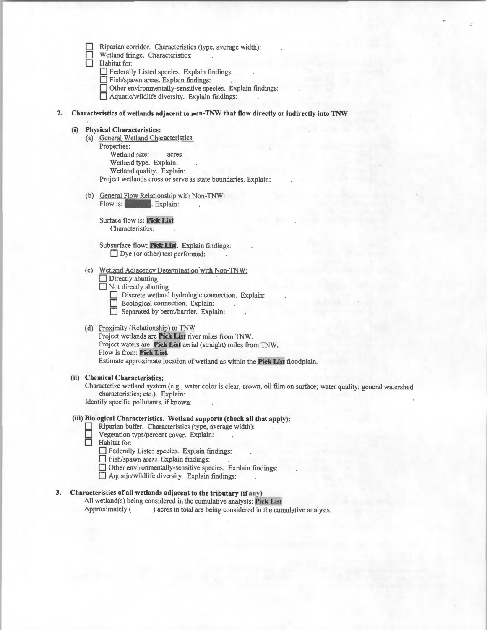|  |  |  |  |  | Riparian corridor. Characteristics (type, average width): |  |
|--|--|--|--|--|-----------------------------------------------------------|--|
|--|--|--|--|--|-----------------------------------------------------------|--|

 $\Box$  Wetland fringe. Characteristics:<br>  $\Box$  Habitat for:

Habitat for:

**D** Federally Listed species. Explain findings:

0 Fish/spawn areas. Explain findings:

Other environmentally-sensitive species. Explain findings:

- Other environmentally-sensitive species. Exp<br>  $\Box$  Aquatic/wildlife diversity. Explain findings:
- 2. Characteristics of wetlands adjacent to non-TNW that flow directly or indirectly into TNW

## **(i) Physical Characteristics:**

- (a) General Wetland Characteristics: Properties: Wetland size: acres Wetland type. Explain: Wetland quality. Explain: Project wetlands cross or serve as state boundaries. Explain:
- (b) General Flow Relationship with Non-TNW: Flow is: **Pick List. Pick Explain:**

Surface flow is: Pick List Characteristics:

Subsurface flow: Pick List. Explain findings: □ Dye (or other) test performed:

(c) Wetland Adjacency Determination with Non-TNW:<br>  $\Box$  Directly abutting

| $\Box$ Directly abutting |  |
|--------------------------|--|
|--------------------------|--|

 $\Box$  Not directly abutting

- **0** Discrete wetland hydrologic connection. Explain:
- **0 Ecological connection. Explain:** Separated by berm/barrier. Explain:
- (d) Proximity (Relationship) to TNW

Project wetlands are **Pick List** river miles from TNW. Project waters are **Pick Lis1** aerial (straight) miles from TNW. Flow is from: Pick List. Estimate approximate location of wetland as within the **Pick Lis•** floodplain.

#### **(ii) Chemical Characteristics:**

Characterize wetland system (e.g., water color is clear, brown, oil film on surface; water quality; genera! watershed characteristics; etc.). Explain:

Identify specific pollutants, if known:

### **(iii) Biological Characteristics. Wetland supports (check all that apply):**

- **0** Riparian buffer. Characteristics (type, average width):
- Vegetation type/percent cover. Explain:
- **0** Habitat for:
	- **0** Federally Listed species. Explain findings:

Fish/spawn areas. Explain findings:

 $\Box$  Other environmentally-sensitive species. Explain findings:

 $\Box$  Aquatic/wildlife diversity. Explain findings:

## **3.** Characteristics of all wetlands adjacent to the tributary (if any)

All wetland(s) being considered in the cumulative analysis: Pick List Approximately ( ) acres in total are being considered in the cumulative analysis.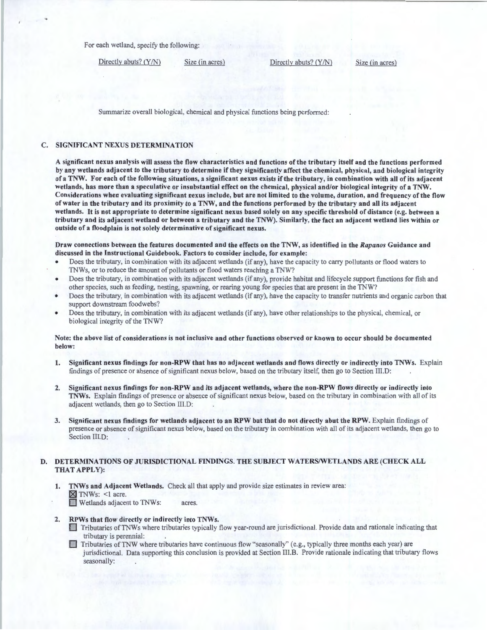For each wetland, specify the following:

Directly abuts? (Y/N) Size (in acres) Directly abuts? (Y/N) Size (in acres)

Summarize overall biological, chemical and physical functions being performed:

## C. SIGNIFICANT NEXUS DETERMINATION

A significant nexus analysis will assess the flow characteristics and functions of the tributary itself and the functions performed by any wetlands adjacent to the tributary to determine if they significantly affect the chemical, physical, and biological integrity ofa TNW. For each of the following situations, a significant nexus exists if the tributary, in combination with all of its adjacent wetlands, has more than a speculative or insubstantial effect on the chemical, physical and/or biological integrity of a TNW. Considerations when evaluating significant nexus include, but are not limited to the volume, duration, and frequency of the flow of water in the tributary and its proximity to a TNW, and the functions performed by the tributary and all its adjacent wetlands. It is not appropriate to determine significant nexus based solely on any specific threshold of distance (e.g. between a tributary and its adjacent wetland or between a tributary and the TNW). Similarly, the fact an adjacent wetland lies within or outside of a floodplain is not solely determinative of significant nexus.

Draw connections between the features documented and the effects on the TNW, as identified in the *Rapanos* Guidance and discussed in the Instructional Guidebook. Factors to consider include, for example:

- Does the tributary, in combination with its adjacent wetlands (if any), have the capacity to carry pollutants or flood waters to TNWs, or to reduce the amount of pollutants or flood waters reaching a TNW?
- Does the tributary, in combination with its adjacent wetlands (if any), provide habitat and lifecycle support functions for fish and other species, such as feeding, nesting, spawning, or rearing young for species that are present in the TNW?
- Does the tributary, in combination with its adjacent wetlands (if any), have the capacity to transfer nutrients and organic carbon that support downstream foodwebs?
- Does the tributary, in combination with its adjacent wetlands (if any), have other relationships to the physical, chemical, or biological integrity of the TNW?

## Note: the above list of considerations is not inclusive and other functions observed or known to occur should be documented below:

- 1. Significant nexus findings for non-RPW that has no adjacent wetlands and flows directly or indirectly into TNWs. Explain findings of presence or absence of significant nexus below, based on the tributary itself, then go to Section III.D:
- 2. Significant nexus findings for non-RPW and its adjacent wetlands, where the non-RPW flows directly or indirectly into TNWs. Explain findings of presence or absence of significant nexus below, based on the tributary in combination with all of its adjacent wetlands, then go to Section III.D:
- 3. Significant nexus findings for wetlands adjacent to an RPW but that do not directly abut the RPW. Explain findings of presence or absence of significant nexus below, based on the tributary in combination with all of its adjacent wetlands, then go to Section III.D:

## D. DETERMINATIONS OF JURISDICTIONAL FINDINGS. THE SUBJECT WATERS/WETLANDS ARE (CHECK ALL THAT APPLY):

1. TNWs and Adjacent Wetlands. Check all that apply and provide size estimates in review area: ~ TNWs: <l acre. **D** Wetlands adjacent to TNWs: acres.

- 
- 2. RPWs that flow directly or indirectly into TNWs.<br>1. Tributaries of TNWs where tributaries typically flow year-round are jurisdictional. Provide data and rationale indicating that tributary is perennial:
	- **Tributaries of TNW where tributaries have continuous flow "seasonally" (e.g., typically three months each year) are** jurisdictional. Data supporting this conclusion is provided at Section III.B. Provide rationale indicating that tributary flows seasonally: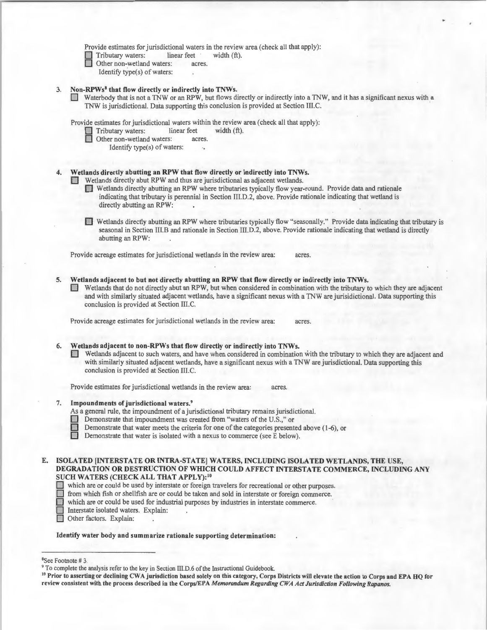Provide estimates for jurisdictional waters in the review area (check all that apply):<br>
Tributary waters: linear feet width  $(ft)$ .

Tributary waters:

- Other non-wetland waters: acres
- Identify type(s) of waters:

## 3. Non-RPWs<sup>8</sup> that flow directly or indirectly into TNWs.

0 Waterbody that is not a TNW or an RPW, but flows directly or indirectly into a TNW, and it has a significant nexus with a TNW is jurisdictional. Data supporting this conclusion is provided at Section Ill.C.

Provide estimates for jurisdictional waters within the review area (check all that apply):<br>  $\Box$  Tributary waters: linear feet width (ft).

Tributary waters: linear feet linear feet between the mon-wetland waters: acres.

- Other non-wetland waters:
	- Identify type(s) of waters:

## Wetlands directly abutting an RPW that flow directly or indirectly into TNWs.

- **DET** Wetlands directly abut RPW and thus are jurisdictional as adjacent wetlands.
	- 0 Wetlands directly abutting an RPW where tributaries typically flow year-round. Provide data and rationale indicating that tributary is perennial in Section III.D.2, above. Provide rationale indicating that wetland is directly abutting an RPW:
	- 0 Wetlands directly abutting an RPW where tributaries typically flow "seasonally." Provide data indicating that tributary is seasonal in Section III.B and rationale in Section III.D.2, above. Provide rationale indicating that wetland is directly abutting an RPW:

Provide acreage estimates for jurisdictional wetlands in the review area: acres.

- Wetlands adjacent to but not directly abutting an RPW that flow directly or indirectly into TNWs.
	- 0 Wetlands that do not directly abut an RPW, but when considered in combination with the tributary to which they are adjacent and with similarly situated adjacent wetlands, have a significant nexus with a TNW are jurisidictional. Data supporting this conclusion is provided at Section III.C.

Provide acreage estimates for jurisdictional wetlands in the review area: acres.

## 6. Wetlands adjacent to non-RPWs that flow directly or indirectly into TNWs.

0 Wetlands adjacent to such waters, and have when considered in combination with the tributary to which they are adjacent and with similarly situated adjacent wetlands, have a significant nexus with a TNW are jurisdictional. Data supporting this conclusion is provided at Section III.C.

Provide estimates for jurisdictional wetlands in the review area: acres.

## Impoundments of jurisdictional waters.<sup>9</sup>

As a general rule, the impoundment of a jurisdictional tributary remains jurisdictional.

- **Demonstrate that impoundment was created from "waters of the U.S.," or** 
	- Demonstrate that water meets the criteria for one of the categories presented above (1-6), or
- $\Box$  Demonstrate that water is isolated with a nexus to commerce (see E below).

# E. ISOLATED [INTERSTATE OR INTRA-STATE] WATERS, INCLUDING ISOLATED WETLANDS, THE USE, DEGRADATION OR DESTRUCTION OF WHICH COULD AFFECT INTERSTATE COMMERCE, INCLUDING ANY SUCH WATERS (CHECK ALL THAT APPLY):<sup>10</sup><br>which are or could be used by interstate or foreign travelers for recreational or other purposes.

- which are or could be used by interstate or foreign travelers for recreational or other purposes.<br>  $\Box$  from which fish or shellfish are or could be taken and sold in interstate or foreign commerce.
- 
- which are or could be used for industrial purposes by industries in interstate commerce.
	- Interstate isolated waters. Explain: .
- Other factors. Explain:

### Identify water body and summarize rationale supporting determination:

<sup>&</sup>lt;sup>8</sup>See Footnote #3.

<sup>&</sup>lt;sup>9</sup> To complete the analysis refer to the key in Section III.D.6 of the Instructional Guidebook.<br><sup>10</sup> Prior to asserting or declining CWA jurisdiction based solely on this category, Corps Districts will elevate the action review consistent with the process described in the Corps/EPA *Memorandum Regarding CWA Act Jurisdiction Following Rapanos.*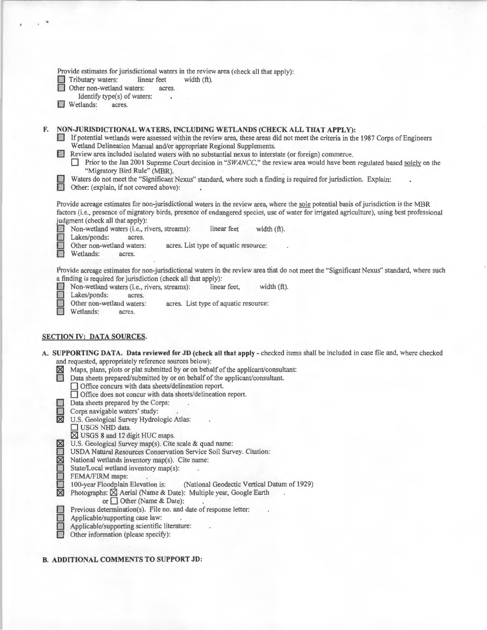| NON-JURISDICTIONAL WATERS, INCLUDING WETLANDS (CHECK ALL THAT APPLY):<br>F.<br>If potential wetlands were assessed within the review area, these areas did not meet the criteria in the 1987 Corps of Engineers<br>Wetland Delineation Manual and/or appropriate Regional Supplements.<br>Review area included isolated waters with no substantial nexus to interstate (or foreign) commerce.<br>"Migratory Bird Rule" (MBR).<br>Waters do not meet the "Significant Nexus" standard, where such a finding is required for jurisdiction. Explain:<br>Other: (explain, if not covered above):<br>Provide acreage estimates for non-jurisdictional waters in the review area, where the sole potential basis of jurisdiction is the MBR<br>judgment (check all that apply):<br>Non-wetland waters (i.e., rivers, streams):<br>linear feet<br>width $(ft)$ .<br>Lakes/ponds:<br>acres.<br>Other non-wetland waters:<br>acres. List type of aquatic resource:<br>Wetlands:<br>acres.<br>a finding is required for jurisdiction (check all that apply):<br>width $(ft)$ .<br>Non-wetland waters (i.e., rivers, streams):<br>linear feet,<br>Lakes/ponds:<br>acres.<br>Other non-wetland waters:<br>acres. List type of aquatic resource:<br>Wetlands:<br>acres.<br>and requested, appropriately reference sources below):<br>Maps, plans, plots or plat submitted by or on behalf of the applicant/consultant:<br>Data sheets prepared/submitted by or on behalf of the applicant/consultant.<br><b>All S</b><br>□ Office concurs with data sheets/delineation report.<br>□ Office does not concur with data sheets/delineation report.<br>Data sheets prepared by the Corps:<br>Corps navigable waters' study:<br><b>X</b> U.S. Geological Survey Hydrologic Atlas:<br>USGS NHD data.<br>⊠ USGS 8 and 12 digit HUC maps.<br>U.S. Geological Survey map(s). Cite scale & quad name:<br>⊠<br>USDA Natural Resources Conservation Service Soil Survey. Citation:<br>$\overline{\mathbb{Z}}$<br>National wetlands inventory map(s). Cite name:<br>State/Local wetland inventory map(s):<br>FEMA/FIRM maps:<br>100-year Floodplain Elevation is:<br>(National Geodectic Vertical Datum of 1929)<br>⊠<br>Photographs: X Aerial (Name & Date): Multiple year, Google Earth<br>or Other (Name & Date):<br>Previous determination(s). File no. and date of response letter:<br>Applicable/supporting case law:<br>Applicable/supporting scientific literature:<br>Other information (please specify): | Provide estimates for jurisdictional waters in the review area (check all that apply):<br>Tributary waters:<br>linear feet<br>width $(ft)$ .<br>Other non-wetland waters:<br>acres.<br>Identify type(s) of waters:<br>Wetlands:<br>acres. |
|------------------------------------------------------------------------------------------------------------------------------------------------------------------------------------------------------------------------------------------------------------------------------------------------------------------------------------------------------------------------------------------------------------------------------------------------------------------------------------------------------------------------------------------------------------------------------------------------------------------------------------------------------------------------------------------------------------------------------------------------------------------------------------------------------------------------------------------------------------------------------------------------------------------------------------------------------------------------------------------------------------------------------------------------------------------------------------------------------------------------------------------------------------------------------------------------------------------------------------------------------------------------------------------------------------------------------------------------------------------------------------------------------------------------------------------------------------------------------------------------------------------------------------------------------------------------------------------------------------------------------------------------------------------------------------------------------------------------------------------------------------------------------------------------------------------------------------------------------------------------------------------------------------------------------------------------------------------------------------------------------------------------------------------------------------------------------------------------------------------------------------------------------------------------------------------------------------------------------------------------------------------------------------------------------------------------------------------------------------------------------------------------------------------------------------------------------------------------------------------|-------------------------------------------------------------------------------------------------------------------------------------------------------------------------------------------------------------------------------------------|
|                                                                                                                                                                                                                                                                                                                                                                                                                                                                                                                                                                                                                                                                                                                                                                                                                                                                                                                                                                                                                                                                                                                                                                                                                                                                                                                                                                                                                                                                                                                                                                                                                                                                                                                                                                                                                                                                                                                                                                                                                                                                                                                                                                                                                                                                                                                                                                                                                                                                                          | Prior to the Jan 2001 Supreme Court decision in "SWANCC," the review area would have been regulated based solely on the                                                                                                                   |
|                                                                                                                                                                                                                                                                                                                                                                                                                                                                                                                                                                                                                                                                                                                                                                                                                                                                                                                                                                                                                                                                                                                                                                                                                                                                                                                                                                                                                                                                                                                                                                                                                                                                                                                                                                                                                                                                                                                                                                                                                                                                                                                                                                                                                                                                                                                                                                                                                                                                                          | factors (i.e., presence of migratory birds, presence of endangered species, use of water for irrigated agriculture), using best professional                                                                                              |
| <b>SECTION IV: DATA SOURCES.</b><br>A. SUPPORTING DATA. Data reviewed for JD (check all that apply - checked items shall be included in case file and, where checked                                                                                                                                                                                                                                                                                                                                                                                                                                                                                                                                                                                                                                                                                                                                                                                                                                                                                                                                                                                                                                                                                                                                                                                                                                                                                                                                                                                                                                                                                                                                                                                                                                                                                                                                                                                                                                                                                                                                                                                                                                                                                                                                                                                                                                                                                                                     | Provide acreage estimates for non-jurisdictional waters in the review area that do not meet the "Significant Nexus" standard, where such                                                                                                  |
|                                                                                                                                                                                                                                                                                                                                                                                                                                                                                                                                                                                                                                                                                                                                                                                                                                                                                                                                                                                                                                                                                                                                                                                                                                                                                                                                                                                                                                                                                                                                                                                                                                                                                                                                                                                                                                                                                                                                                                                                                                                                                                                                                                                                                                                                                                                                                                                                                                                                                          |                                                                                                                                                                                                                                           |
|                                                                                                                                                                                                                                                                                                                                                                                                                                                                                                                                                                                                                                                                                                                                                                                                                                                                                                                                                                                                                                                                                                                                                                                                                                                                                                                                                                                                                                                                                                                                                                                                                                                                                                                                                                                                                                                                                                                                                                                                                                                                                                                                                                                                                                                                                                                                                                                                                                                                                          |                                                                                                                                                                                                                                           |

# **B. ADDITIONAL COMMENTS TO SUPPORT JD:**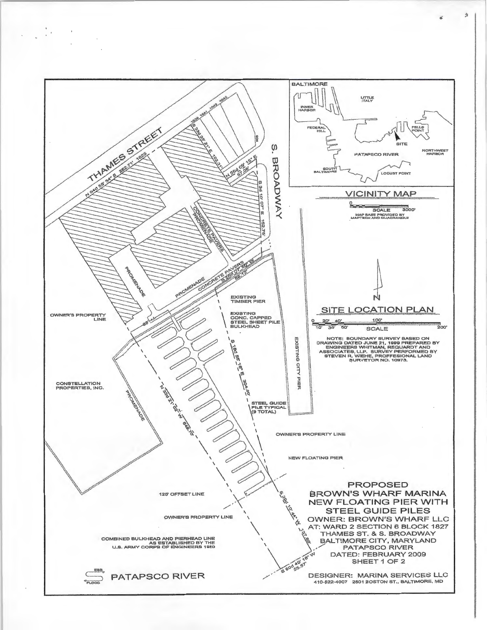

含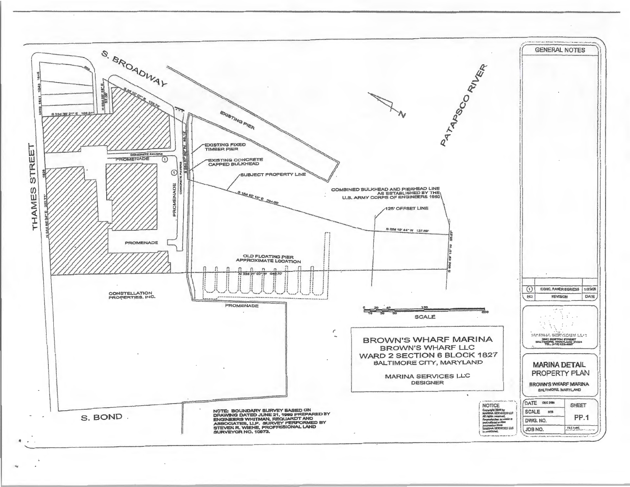